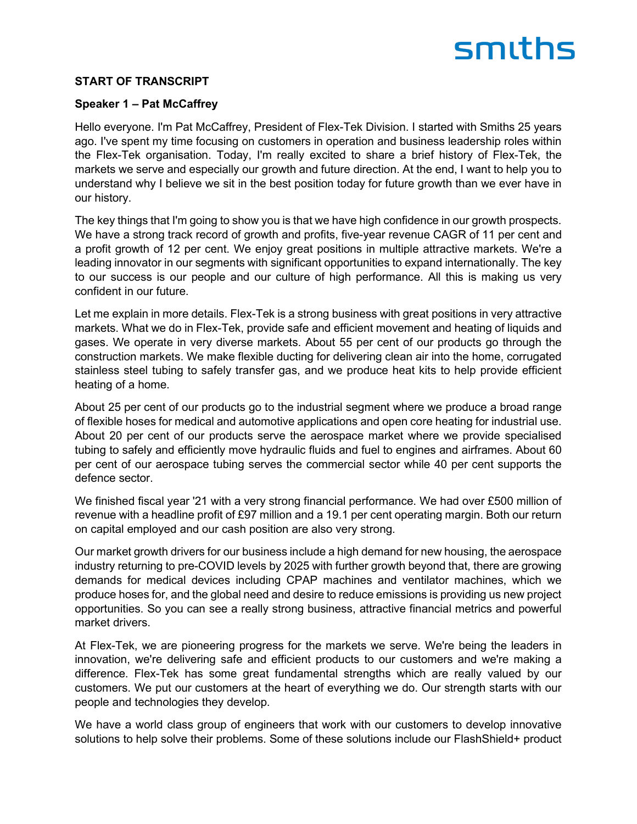### **START OF TRANSCRIPT**

#### **Speaker 1 – Pat McCaffrey**

Hello everyone. I'm Pat McCaffrey, President of Flex-Tek Division. I started with Smiths 25 years ago. I've spent my time focusing on customers in operation and business leadership roles within the Flex-Tek organisation. Today, I'm really excited to share a brief history of Flex-Tek, the markets we serve and especially our growth and future direction. At the end, I want to help you to understand why I believe we sit in the best position today for future growth than we ever have in our history.

The key things that I'm going to show you is that we have high confidence in our growth prospects. We have a strong track record of growth and profits, five-year revenue CAGR of 11 per cent and a profit growth of 12 per cent. We enjoy great positions in multiple attractive markets. We're a leading innovator in our segments with significant opportunities to expand internationally. The key to our success is our people and our culture of high performance. All this is making us very confident in our future.

Let me explain in more details. Flex-Tek is a strong business with great positions in very attractive markets. What we do in Flex-Tek, provide safe and efficient movement and heating of liquids and gases. We operate in very diverse markets. About 55 per cent of our products go through the construction markets. We make flexible ducting for delivering clean air into the home, corrugated stainless steel tubing to safely transfer gas, and we produce heat kits to help provide efficient heating of a home.

About 25 per cent of our products go to the industrial segment where we produce a broad range of flexible hoses for medical and automotive applications and open core heating for industrial use. About 20 per cent of our products serve the aerospace market where we provide specialised tubing to safely and efficiently move hydraulic fluids and fuel to engines and airframes. About 60 per cent of our aerospace tubing serves the commercial sector while 40 per cent supports the defence sector.

We finished fiscal year '21 with a very strong financial performance. We had over £500 million of revenue with a headline profit of £97 million and a 19.1 per cent operating margin. Both our return on capital employed and our cash position are also very strong.

Our market growth drivers for our business include a high demand for new housing, the aerospace industry returning to pre-COVID levels by 2025 with further growth beyond that, there are growing demands for medical devices including CPAP machines and ventilator machines, which we produce hoses for, and the global need and desire to reduce emissions is providing us new project opportunities. So you can see a really strong business, attractive financial metrics and powerful market drivers.

At Flex-Tek, we are pioneering progress for the markets we serve. We're being the leaders in innovation, we're delivering safe and efficient products to our customers and we're making a difference. Flex-Tek has some great fundamental strengths which are really valued by our customers. We put our customers at the heart of everything we do. Our strength starts with our people and technologies they develop.

We have a world class group of engineers that work with our customers to develop innovative solutions to help solve their problems. Some of these solutions include our FlashShield+ product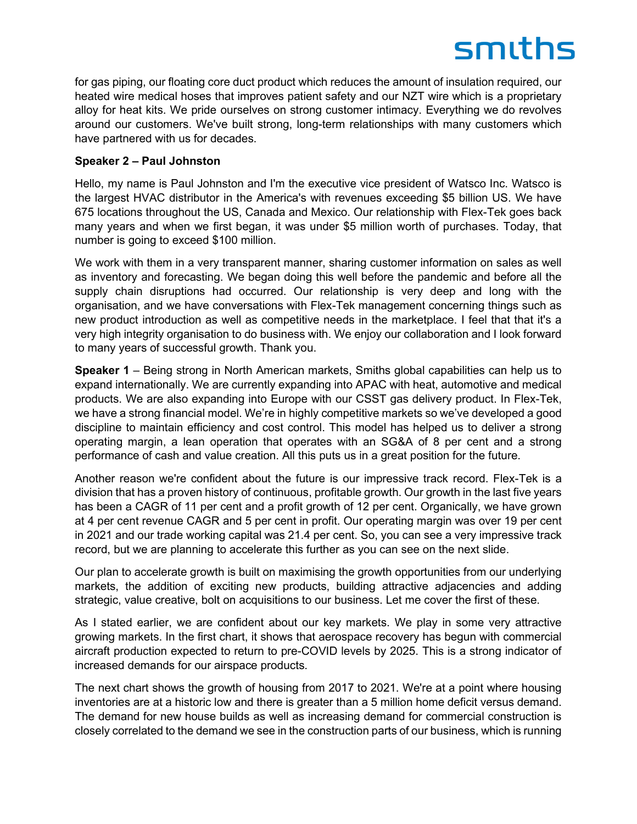for gas piping, our floating core duct product which reduces the amount of insulation required, our heated wire medical hoses that improves patient safety and our NZT wire which is a proprietary alloy for heat kits. We pride ourselves on strong customer intimacy. Everything we do revolves around our customers. We've built strong, long-term relationships with many customers which have partnered with us for decades.

### **Speaker 2 – Paul Johnston**

Hello, my name is Paul Johnston and I'm the executive vice president of Watsco Inc. Watsco is the largest HVAC distributor in the America's with revenues exceeding \$5 billion US. We have 675 locations throughout the US, Canada and Mexico. Our relationship with Flex-Tek goes back many years and when we first began, it was under \$5 million worth of purchases. Today, that number is going to exceed \$100 million.

We work with them in a very transparent manner, sharing customer information on sales as well as inventory and forecasting. We began doing this well before the pandemic and before all the supply chain disruptions had occurred. Our relationship is very deep and long with the organisation, and we have conversations with Flex-Tek management concerning things such as new product introduction as well as competitive needs in the marketplace. I feel that that it's a very high integrity organisation to do business with. We enjoy our collaboration and I look forward to many years of successful growth. Thank you.

**Speaker 1** – Being strong in North American markets, Smiths global capabilities can help us to expand internationally. We are currently expanding into APAC with heat, automotive and medical products. We are also expanding into Europe with our CSST gas delivery product. In Flex-Tek, we have a strong financial model. We're in highly competitive markets so we've developed a good discipline to maintain efficiency and cost control. This model has helped us to deliver a strong operating margin, a lean operation that operates with an SG&A of 8 per cent and a strong performance of cash and value creation. All this puts us in a great position for the future.

Another reason we're confident about the future is our impressive track record. Flex-Tek is a division that has a proven history of continuous, profitable growth. Our growth in the last five years has been a CAGR of 11 per cent and a profit growth of 12 per cent. Organically, we have grown at 4 per cent revenue CAGR and 5 per cent in profit. Our operating margin was over 19 per cent in 2021 and our trade working capital was 21.4 per cent. So, you can see a very impressive track record, but we are planning to accelerate this further as you can see on the next slide.

Our plan to accelerate growth is built on maximising the growth opportunities from our underlying markets, the addition of exciting new products, building attractive adjacencies and adding strategic, value creative, bolt on acquisitions to our business. Let me cover the first of these.

As I stated earlier, we are confident about our key markets. We play in some very attractive growing markets. In the first chart, it shows that aerospace recovery has begun with commercial aircraft production expected to return to pre-COVID levels by 2025. This is a strong indicator of increased demands for our airspace products.

The next chart shows the growth of housing from 2017 to 2021. We're at a point where housing inventories are at a historic low and there is greater than a 5 million home deficit versus demand. The demand for new house builds as well as increasing demand for commercial construction is closely correlated to the demand we see in the construction parts of our business, which is running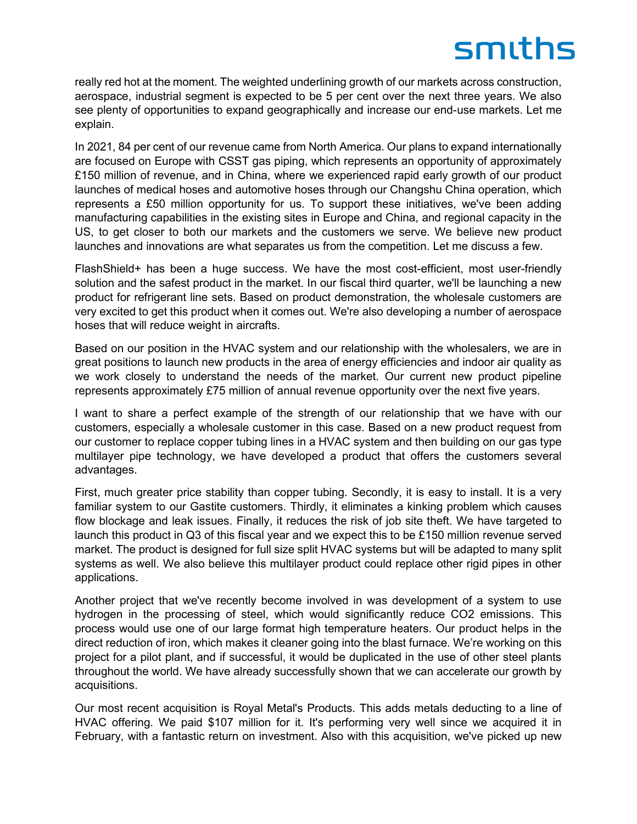really red hot at the moment. The weighted underlining growth of our markets across construction, aerospace, industrial segment is expected to be 5 per cent over the next three years. We also see plenty of opportunities to expand geographically and increase our end-use markets. Let me explain.

In 2021, 84 per cent of our revenue came from North America. Our plans to expand internationally are focused on Europe with CSST gas piping, which represents an opportunity of approximately £150 million of revenue, and in China, where we experienced rapid early growth of our product launches of medical hoses and automotive hoses through our Changshu China operation, which represents a £50 million opportunity for us. To support these initiatives, we've been adding manufacturing capabilities in the existing sites in Europe and China, and regional capacity in the US, to get closer to both our markets and the customers we serve. We believe new product launches and innovations are what separates us from the competition. Let me discuss a few.

FlashShield+ has been a huge success. We have the most cost-efficient, most user-friendly solution and the safest product in the market. In our fiscal third quarter, we'll be launching a new product for refrigerant line sets. Based on product demonstration, the wholesale customers are very excited to get this product when it comes out. We're also developing a number of aerospace hoses that will reduce weight in aircrafts.

Based on our position in the HVAC system and our relationship with the wholesalers, we are in great positions to launch new products in the area of energy efficiencies and indoor air quality as we work closely to understand the needs of the market. Our current new product pipeline represents approximately £75 million of annual revenue opportunity over the next five years.

I want to share a perfect example of the strength of our relationship that we have with our customers, especially a wholesale customer in this case. Based on a new product request from our customer to replace copper tubing lines in a HVAC system and then building on our gas type multilayer pipe technology, we have developed a product that offers the customers several advantages.

First, much greater price stability than copper tubing. Secondly, it is easy to install. It is a very familiar system to our Gastite customers. Thirdly, it eliminates a kinking problem which causes flow blockage and leak issues. Finally, it reduces the risk of job site theft. We have targeted to launch this product in Q3 of this fiscal year and we expect this to be £150 million revenue served market. The product is designed for full size split HVAC systems but will be adapted to many split systems as well. We also believe this multilayer product could replace other rigid pipes in other applications.

Another project that we've recently become involved in was development of a system to use hydrogen in the processing of steel, which would significantly reduce CO2 emissions. This process would use one of our large format high temperature heaters. Our product helps in the direct reduction of iron, which makes it cleaner going into the blast furnace. We're working on this project for a pilot plant, and if successful, it would be duplicated in the use of other steel plants throughout the world. We have already successfully shown that we can accelerate our growth by acquisitions.

Our most recent acquisition is Royal Metal's Products. This adds metals deducting to a line of HVAC offering. We paid \$107 million for it. It's performing very well since we acquired it in February, with a fantastic return on investment. Also with this acquisition, we've picked up new